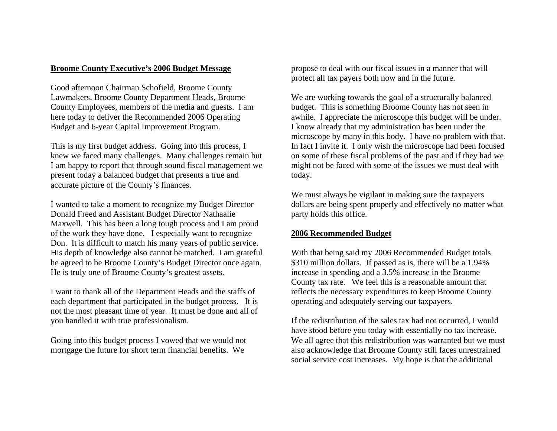### **Broome County Executive's 2006 Budget Message**

Good afternoon Chairman Schofield, Broome County Lawmakers, Broome County Department Heads, Broome County Employees, members of the media and guests. I am here today to deliver the Recommended 2006 Operating Budget and 6-year Capital Improvement Program.

This is my first budget address. Going into this process, I knew we faced many challenges. Many challenges remain but I am happy to report that through sound fiscal management we present today a balanced budget that presents a true and accurate picture of the County's finances.

I wanted to take a moment to recognize my Budget Director Donald Freed and Assistant Budget Director Nathaalie Maxwell. This has been a long tough process and I am proud of the work they have done. I especially want to recognize Don. It is difficult to match his many years of public service. His depth of knowledge also cannot be matched. I am grateful he agreed to be Broome County's Budget Director once again. He is truly one of Broome County's greatest assets.

I want to thank all of the Department Heads and the staffs of each department that participated in the budget process. It is not the most pleasant time of year. It must be done and all of you handled it with true professionalism.

Going into this budget process I vowed that we would not mortgage the future for short term financial benefits. We

propose to deal with our fiscal issues in a manner that will protect all tax payers both now and in the future.

We are working towards the goal of a structurally balanced budget. This is something Broome County has not seen in awhile. I appreciate the microscope this budget will be under. I know already that my administration has been under the microscope by many in this body. I have no problem with that. In fact I invite it. I only wish the microscope had been focused on some of these fiscal problems of the past and if they had we might not be faced with some of the issues we must deal with today.

We must always be vigilant in making sure the taxpayers dollars are being spent properly and effectively no matter what party holds this office.

# **2006 Recommended Budget**

With that being said my 2006 Recommended Budget totals \$310 million dollars. If passed as is, there will be a 1.94% increase in spending and a 3.5% increase in the Broome County tax rate. We feel this is a reasonable amount that reflects the necessary expenditures to keep Broome County operating and adequately serving our taxpayers.

If the redistribution of the sales tax had not occurred, I would have stood before you today with essentially no tax increase. We all agree that this redistribution was warranted but we must also acknowledge that Broome County still faces unrestrained social service cost increases. My hope is that the additional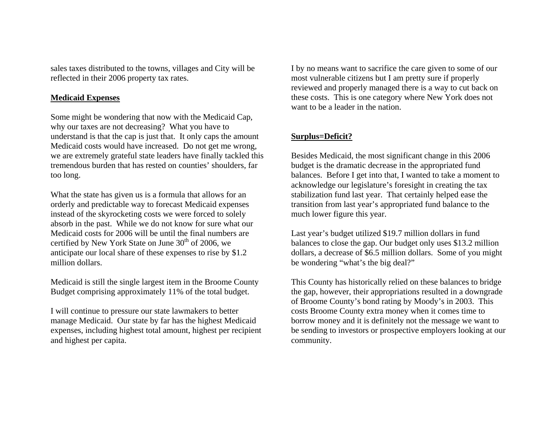sales taxes distributed to the towns, villages and City will be reflected in their 2006 property tax rates.

#### **Medicaid Expenses**

Some might be wondering that now with the Medicaid Cap, why our taxes are not decreasing? What you have to understand is that the cap is just that. It only caps the amount Medicaid costs would have increased. Do not get me wrong, we are extremely grateful state leaders have finally tackled this tremendous burden that has rested on counties' shoulders, far too long.

What the state has given us is a formula that allows for an orderly and predictable way to forecast Medicaid expenses instead of the skyrocketing costs we were forced to solely absorb in the past. While we do not know for sure what our Medicaid costs for 2006 will be until the final numbers are certified by New York State on June  $30<sup>th</sup>$  of 2006, we anticipate our local share of these expenses to rise by \$1.2 million dollars.

Medicaid is still the single largest item in the Broome County Budget comprising approximately 11% of the total budget.

I will continue to pressure our state lawmakers to better manage Medicaid. Our state by far has the highest Medicaid expenses, including highest total amount, highest per recipient and highest per capita.

I by no means want to sacrifice the care given to some of our most vulnerable citizens but I am pretty sure if properly reviewed and properly managed there is a way to cut back on these costs. This is one category where New York does not want to be a leader in the nation.

# **Surplus=Deficit?**

Besides Medicaid, the most significant change in this 2006 budget is the dramatic decrease in the appropriated fund balances. Before I get into that, I wanted to take a moment to acknowledge our legislature's foresight in creating the tax stabilization fund last year. That certainly helped ease the transition from last year's appropriated fund balance to the much lower figure this year.

Last year's budget utilized \$19.7 million dollars in fund balances to close the gap. Our budget only uses \$13.2 million dollars, a decrease of \$6.5 million dollars. Some of you might be wondering "what's the big deal?"

This County has historically relied on these balances to bridge the gap, however, their appropriations resulted in a downgrade of Broome County's bond rating by Moody's in 2003. This costs Broome County extra money when it comes time to borrow money and it is definitely not the message we want to be sending to investors or prospective employers looking at our community.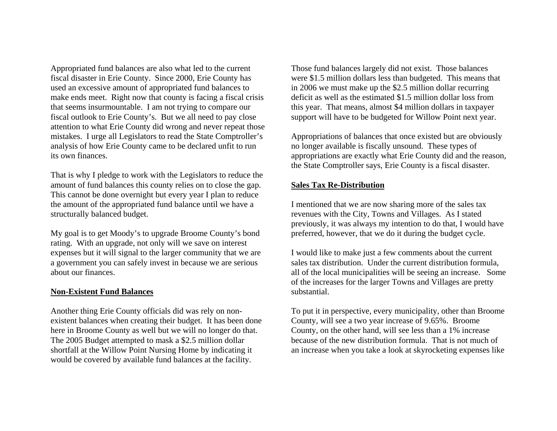Appropriated fund balances are also what led to the current fiscal disaster in Erie County. Since 2000, Erie County has used an excessive amount of appropriated fund balances to make ends meet. Right now that county is facing a fiscal crisis that seems insurmountable. I am not trying to compare our fiscal outlook to Erie County's. But we all need to pay close attention to what Erie County did wrong and never repeat those mistakes. I urge all Legislators to read the State Comptroller's analysis of how Erie County came to be declared unfit to run its own finances.

That is why I pledge to work with the Legislators to reduce the amount of fund balances this county relies on to close the gap. This cannot be done overnight but every year I plan to reduce the amount of the appropriated fund balance until we have a structurally balanced budget.

My goal is to get Moody's to upgrade Broome County's bond rating. With an upgrade, not only will we save on interest expenses but it will signal to the larger community that we are a government you can safely invest in because we are serious about our finances.

#### **Non-Existent Fund Balances**

Another thing Erie County officials did was rely on nonexistent balances when creating their budget. It has been done here in Broome County as well but we will no longer do that. The 2005 Budget attempted to mask a \$2.5 million dollar shortfall at the Willow Point Nursing Home by indicating it would be covered by available fund balances at the facility.

Those fund balances largely did not exist. Those balances were \$1.5 million dollars less than budgeted. This means that in 2006 we must make up the \$2.5 million dollar recurring deficit as well as the estimated \$1.5 million dollar loss from this year. That means, almost \$4 million dollars in taxpayer support will have to be budgeted for Willow Point next year.

Appropriations of balances that once existed but are obviously no longer available is fiscally unsound. These types of appropriations are exactly what Erie County did and the reason, the State Comptroller says, Erie County is a fiscal disaster.

#### **Sales Tax Re-Distribution**

I mentioned that we are now sharing more of the sales tax revenues with the City, Towns and Villages. As I stated previously, it was always my intention to do that, I would have preferred, however, that we do it during the budget cycle.

I would like to make just a few comments about the current sales tax distribution. Under the current distribution formula, all of the local municipalities will be seeing an increase. Some of the increases for the larger Towns and Villages are pretty substantial.

To put it in perspective, every municipality, other than Broome County, will see a two year increase of 9.65%. Broome County, on the other hand, will see less than a 1% increase because of the new distribution formula. That is not much of an increase when you take a look at skyrocketing expenses like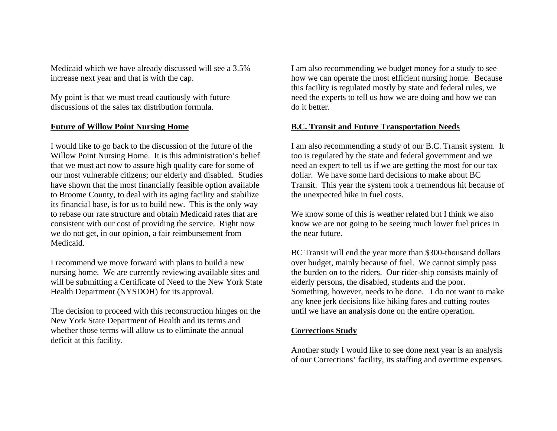Medicaid which we have already discussed will see a 3.5% increase next year and that is with the cap.

My point is that we must tread cautiously with future discussions of the sales tax distribution formula.

# **Future of Willow Point Nursing Home**

I would like to go back to the discussion of the future of the Willow Point Nursing Home. It is this administration's belief that we must act now to assure high quality care for some of our most vulnerable citizens; our elderly and disabled. Studies have shown that the most financially feasible option available to Broome County, to deal with its aging facility and stabilize its financial base, is for us to build new. This is the only way to rebase our rate structure and obtain Medicaid rates that are consistent with our cost of providing the service. Right now we do not get, in our opinion, a fair reimbursement from Medicaid.

I recommend we move forward with plans to build a new nursing home. We are currently reviewing available sites and will be submitting a Certificate of Need to the New York State Health Department (NYSDOH) for its approval.

The decision to proceed with this reconstruction hinges on the New York State Department of Health and its terms and whether those terms will allow us to eliminate the annual deficit at this facility.

I am also recommending we budget money for a study to see how we can operate the most efficient nursing home. Because this facility is regulated mostly by state and federal rules, we need the experts to tell us how we are doing and how we can do it better.

# **B.C. Transit and Future Transportation Needs**

I am also recommending a study of our B.C. Transit system. It too is regulated by the state and federal government and we need an expert to tell us if we are getting the most for our tax dollar. We have some hard decisions to make about BC Transit. This year the system took a tremendous hit because of the unexpected hike in fuel costs.

We know some of this is weather related but I think we also know we are not going to be seeing much lower fuel prices in the near future.

BC Transit will end the year more than \$300-thousand dollars over budget, mainly because of fuel. We cannot simply pass the burden on to the riders. Our rider-ship consists mainly of elderly persons, the disabled, students and the poor. Something, however, needs to be done. I do not want to make any knee jerk decisions like hiking fares and cutting routes until we have an analysis done on the entire operation.

#### **Corrections Study**

Another study I would like to see done next year is an analysis of our Corrections' facility, its staffing and overtime expenses.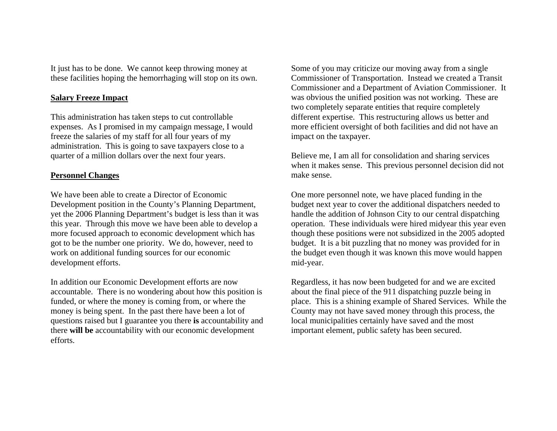It just has to be done. We cannot keep throwing money at these facilities hoping the hemorrhaging will stop on its own.

### **Salary Freeze Impact**

This administration has taken steps to cut controllable expenses. As I promised in my campaign message, I would freeze the salaries of my staff for all four years of my administration. This is going to save taxpayers close to a quarter of a million dollars over the next four years.

### **Personnel Changes**

We have been able to create a Director of Economic Development position in the County's Planning Department, yet the 2006 Planning Department's budget is less than it was this year. Through this move we have been able to develop a more focused approach to economic development which has got to be the number one priority. We do, however, need to work on additional funding sources for our economic development efforts.

In addition our Economic Development efforts are now accountable. There is no wondering about how this position is funded, or where the money is coming from, or where the money is being spent. In the past there have been a lot of questions raised but I guarantee you there **is** accountability and there **will be** accountability with our economic development efforts.

Some of you may criticize our moving away from a single Commissioner of Transportation. Instead we created a Transit Commissioner and a Department of Aviation Commissioner. It was obvious the unified position was not working. These are two completely separate entities that require completely different expertise. This restructuring allows us better and more efficient oversight of both facilities and did not have an impact on the taxpayer.

Believe me, I am all for consolidation and sharing services when it makes sense. This previous personnel decision did not make sense.

One more personnel note, we have placed funding in the budget next year to cover the additional dispatchers needed to handle the addition of Johnson City to our central dispatching operation. These individuals were hired midyear this year even though these positions were not subsidized in the 2005 adopted budget. It is a bit puzzling that no money was provided for in the budget even though it was known this move would happen mid-year.

Regardless, it has now been budgeted for and we are excited about the final piece of the 911 dispatching puzzle being in place. This is a shining example of Shared Services. While the County may not have saved money through this process, the local municipalities certainly have saved and the most important element, public safety has been secured.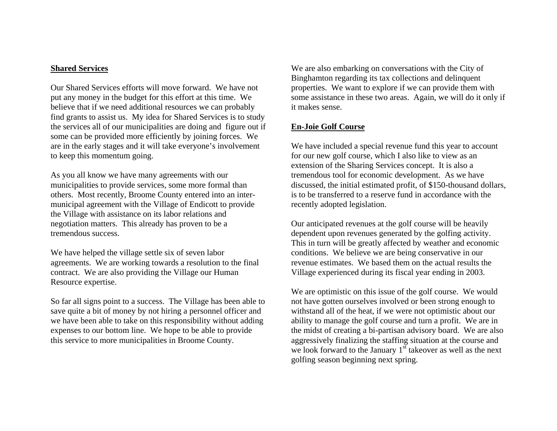#### **Shared Services**

Our Shared Services efforts will move forward. We have not put any money in the budget for this effort at this time. We believe that if we need additional resources we can probably find grants to assist us. My idea for Shared Services is to study the services all of our municipalities are doing and figure out if some can be provided more efficiently by joining forces. We are in the early stages and it will take everyone's involvement to keep this momentum going.

As you all know we have many agreements with our municipalities to provide services, some more formal than others. Most recently, Broome County entered into an intermunicipal agreement with the Village of Endicott to provide the Village with assistance on its labor relations and negotiation matters. This already has proven to be a tremendous success.

We have helped the village settle six of seven labor agreements. We are working towards a resolution to the final contract. We are also providing the Village our Human Resource expertise.

So far all signs point to a success. The Village has been able to save quite a bit of money by not hiring a personnel officer and we have been able to take on this responsibility without adding expenses to our bottom line. We hope to be able to provide this service to more municipalities in Broome County.

We are also embarking on conversations with the City of Binghamton regarding its tax collections and delinquent properties. We want to explore if we can provide them with some assistance in these two areas. Again, we will do it only if it makes sense.

# **En-Joie Golf Course**

We have included a special revenue fund this year to account for our new golf course, which I also like to view as an extension of the Sharing Services concept. It is also a tremendous tool for economic development. As we have discussed, the initial estimated profit, of \$150-thousand dollars, is to be transferred to a reserve fund in accordance with the recently adopted legislation.

Our anticipated revenues at the golf course will be heavily dependent upon revenues generated by the golfing activity. This in turn will be greatly affected by weather and economic conditions. We believe we are being conservative in our revenue estimates. We based them on the actual results the Village experienced during its fiscal year ending in 2003.

We are optimistic on this issue of the golf course. We would not have gotten ourselves involved or been strong enough to withstand all of the heat, if we were not optimistic about our ability to manage the golf course and turn a profit. We are in the midst of creating a bi-partisan advisory board. We are also aggressively finalizing the staffing situation at the course and we look forward to the January  $1<sup>st</sup>$  takeover as well as the next golfing season beginning next spring.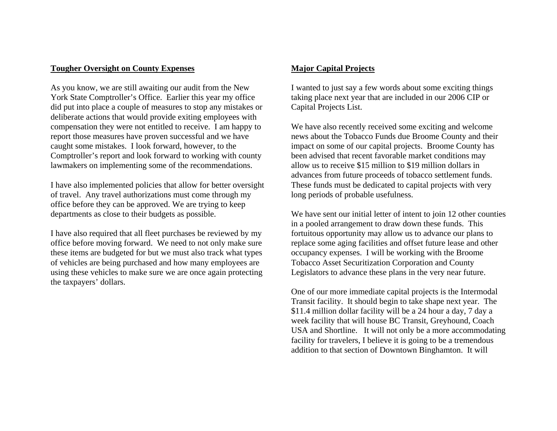# **Tougher Oversight on County Expenses**

As you know, we are still awaiting our audit from the New York State Comptroller's Office. Earlier this year my office did put into place a couple of measures to stop any mistakes or deliberate actions that would provide exiting employees with compensation they were not entitled to receive. I am happy to report those measures have proven successful and we have caught some mistakes. I look forward, however, to the Comptroller's report and look forward to working with county lawmakers on implementing some of the recommendations.

I have also implemented policies that allow for better oversight of travel. Any travel authorizations must come through my office before they can be approved. We are trying to keep departments as close to their budgets as possible.

I have also required that all fleet purchases be reviewed by my office before moving forward. We need to not only make sure these items are budgeted for but we must also track what types of vehicles are being purchased and how many employees are using these vehicles to make sure we are once again protecting the taxpayers' dollars.

# **Major Capital Projects**

I wanted to just say a few words about some exciting things taking place next year that are included in our 2006 CIP or Capital Projects List.

We have also recently received some exciting and welcome news about the Tobacco Funds due Broome County and their impact on some of our capital projects. Broome County has been advised that recent favorable market conditions may allow us to receive \$15 million to \$19 million dollars in advances from future proceeds of tobacco settlement funds. These funds must be dedicated to capital projects with very long periods of probable usefulness.

We have sent our initial letter of intent to join 12 other counties in a pooled arrangement to draw down these funds. This fortuitous opportunity may allow us to advance our plans to replace some aging facilities and offset future lease and other occupancy expenses. I will be working with the Broome Tobacco Asset Securitization Corporation and County Legislators to advance these plans in the very near future.

One of our more immediate capital projects is the Intermodal Transit facility. It should begin to take shape next year. The \$11.4 million dollar facility will be a 24 hour a day, 7 day a week facility that will house BC Transit, Greyhound, Coach USA and Shortline. It will not only be a more accommodating facility for travelers, I believe it is going to be a tremendous addition to that section of Downtown Binghamton. It will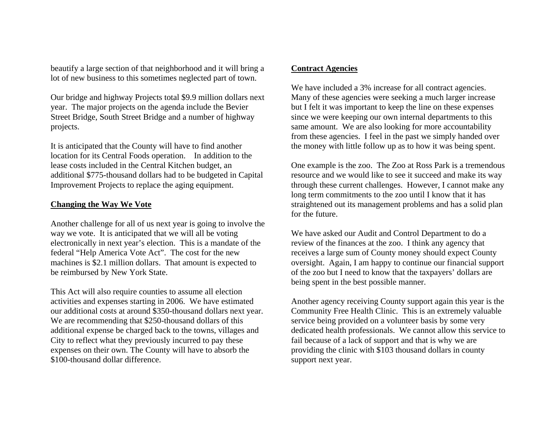beautify a large section of that neighborhood and it will bring a lot of new business to this sometimes neglected part of town.

Our bridge and highway Projects total \$9.9 million dollars next year. The major projects on the agenda include the Bevier Street Bridge, South Street Bridge and a number of highway projects.

It is anticipated that the County will have to find another location for its Central Foods operation. In addition to the lease costs included in the Central Kitchen budget, an additional \$775-thousand dollars had to be budgeted in Capital Improvement Projects to replace the aging equipment.

### **Changing the Way We Vote**

Another challenge for all of us next year is going to involve the way we vote. It is anticipated that we will all be voting electronically in next year's election. This is a mandate of the federal "Help America Vote Act". The cost for the new machines is \$2.1 million dollars. That amount is expected to be reimbursed by New York State.

This Act will also require counties to assume all election activities and expenses starting in 2006. We have estimated our additional costs at around \$350-thousand dollars next year. We are recommending that \$250-thousand dollars of this additional expense be charged back to the towns, villages and City to reflect what they previously incurred to pay these expenses on their own. The County will have to absorb the \$100-thousand dollar difference.

#### **Contract Agencies**

We have included a 3% increase for all contract agencies. Many of these agencies were seeking a much larger increase but I felt it was important to keep the line on these expenses since we were keeping our own internal departments to this same amount. We are also looking for more accountability from these agencies. I feel in the past we simply handed over the money with little follow up as to how it was being spent.

One example is the zoo. The Zoo at Ross Park is a tremendous resource and we would like to see it succeed and make its way through these current challenges. However, I cannot make any long term commitments to the zoo until I know that it has straightened out its management problems and has a solid plan for the future.

We have asked our Audit and Control Department to do a review of the finances at the zoo. I think any agency that receives a large sum of County money should expect County oversight. Again, I am happy to continue our financial support of the zoo but I need to know that the taxpayers' dollars are being spent in the best possible manner.

Another agency receiving County support again this year is the Community Free Health Clinic. This is an extremely valuable service being provided on a volunteer basis by some very dedicated health professionals. We cannot allow this service to fail because of a lack of support and that is why we are providing the clinic with \$103 thousand dollars in county support next year.